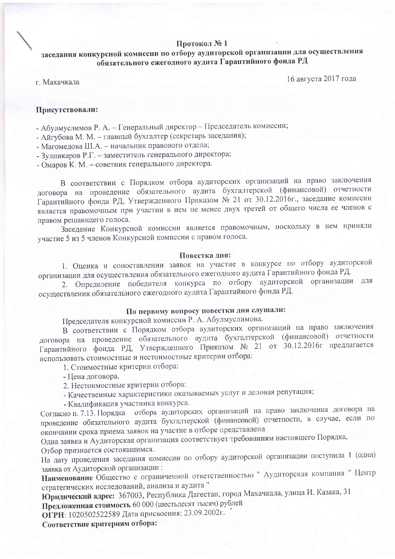# Протокол № 1

# заседания конкурсной комиссии по отбору аудиторской организации для осуществления обязательного ежегодного аудита Гарантийного фонда РД

г. Махачкала

16 августа 2017 года

### Присутствовали:

- Абулмуслимов Р. А. - Генеральный директор - Председатель комиссии;

- Айгубова М. М. - главный бухгалтер (секретарь заседания);

- Магомедова Ш.А. - начальник правового отдела;

- Зулпикаров Р.Г. - заместитель генерального директора;

- Омаров К. М. - советник генерального директора.

В соответствии с Порядком отбора аудиторских организаций на право заключения договора на проведение обязательного аудита бухгалтерской (финансовой) отчетности Гарантийного фонда РД, Утвержденного Приказом № 21 от 30.12.2016г., заседание комиссии является правомочным при участии в нем не менее двух третей от общего числа ее членов с правом решающего голоса.

Заседание Конкурсной комиссии является правомочным, поскольку в нем приняли участие 5 из 5 членов Конкурсной комиссии с правом голоса.

#### Повестка дня:

1. Оценка и сопоставлении заявок на участие в конкурсе по отбору аудиторской организации для осуществления обязательного ежегодного аудита Гарантийного фонда РД.

2. Определение победителя конкурса по отбору аудиторской организации для осуществления обязательного ежегодного аудита Гарантийного фонда РД.

# По первому вопросу повестки дня слушали:

Председателя конкурсной комиссии Р. А. Абулмуслимова.

В соответствии с Порядком отбора аудиторских организаций на право заключения договора на проведение обязательного аудита бухгалтерской (финансовой) отчетности Гарантийного фонда РД, Утвержденного Приказом № 21 от 30.12.2016г предлагается использовать стоимостные и нестоимостные критерии отбора:

1. Стоимостные критерии отбора:

- Цена договора.

2. Нестоимостные критерии отбора:

- Качественные характеристики оказываемых услуг и деловая репутация;

- Квалификация участника конкурса.

Согласно п. 7.13. Порядка отбора аудиторских организаций на право заключения договора на проведение обязательного аудита бухгалтерской (финансовой) отчетности, в случае, если по окончании срока приема заявок на участие в отборе представлена

Одна заявка и Аудиторская организация соответствует требованиям настоящего Порядка,

Отбор признается состоявшимся.

На дату проведения заседания комиссии по отбору аудиторской организации поступила 1 (одна) заявка от Аудиторской организации:

Наименование Общество с ограниченной ответственностью " Аудиторская компания " Центр стратегических исследований, анализа и аудита "

Юридический адрес: 367003, Республика Дагестан, город Махачкала, улица И. Казака, 31

Предложенная стоимость 60 000 (шестьдесят тысяч) рублей

ОГРН. 1020502522589 Дата присвоения: 23.09.2002г.

Соответствие критериям отбора: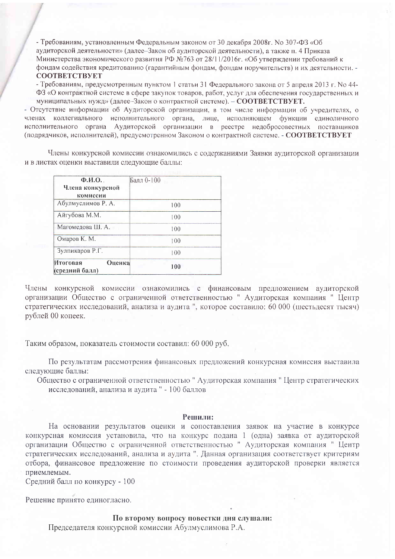- Требованиям, установленным Федеральным законом от 30 декабря 2008г. No 307-ФЗ «Об аудиторской деятельности» (далее-Закон об аудиторской деятельности), а также п. 4 Приказа Министерства экономического развития РФ №763 от 28/11/2016г. «Об утверждении требований к фондам содействия кредитованию (гарантийным фондам, фондам поручительств) и их деятельности. -**COOTBETCTBYET** 

- Требованиям, предусмотренным пунктом 1 статьи 31 Федерального закона от 5 апреля 2013 г. No 44-ФЗ «О контрактной системе в сфере закупок товаров, работ, услуг для обеспечения государственных и муниципальных нужд» (далее-Закон о контрактной системе). - COOTBETCTBYET.

- Отсутствие информации об Аудиторской организации, в том числе информации об учредителях, о членах коллегиального исполнительного органа, лице, исполняющем функции единоличного исполнительного органа Аудиторской организации в реестре недобросовестных поставщиков (подрядчиков, исполнителей), предусмотренном Законом о контрактной системе. - COOTBETCTBYET

Члены конкурсной комиссии ознакомились с содержаниями Заявки аудиторской организации и в листах оценки выставили следующие баллы:

| $\Phi$ . <i>H</i> .O.<br>Члена конкурсной<br>комиссии | Балл 0-100 |
|-------------------------------------------------------|------------|
| Абулмуслимов Р. А.                                    | 100        |
| Айгубова М.М.                                         | 100        |
| Магомедова Ш. А.                                      | 100        |
| Омаров К. М.                                          | 100        |
| Зулпикаров Р.Г.                                       | 100        |
| Итоговая<br>Оценка<br>(средний балл)                  | 100        |

Члены конкурсной комиссии ознакомились с финансовым предложением аудиторской организации Общество с ограниченной ответственностью " Аудиторская компания " Центр стратегических исследований, анализа и аудита ", которое составило: 60 000 (шестьдесят тысяч) рублей 00 копеек.

Таким образом, показатель стоимости составил: 60 000 руб.

По результатам рассмотрения финансовых предложений конкурсная комиссия выставила следующие баллы:

Общество с ограниченной ответственностью "Аудиторская компания "Центр стратегических исследований, анализа и аудита " - 100 баллов

### Решили:

На основании результатов оценки и сопоставления заявок на участие в конкурсе конкурсная комиссия установила, что на конкурс подана 1 (одна) заявка от аудиторской организации Общество с ограниченной ответственностью " Аудиторская компания " Центр стратегических исследований, анализа и аудита ". Данная организация соответствует критериям отбора, финансовое предложение по стоимости проведения аудиторской проверки является приемлемым.

Средний балл по конкурсу - 100

Решение принято единогласно.

## По второму вопросу повестки дня слушали:

Председателя конкурсной комиссии Абулмуслимова Р.А.